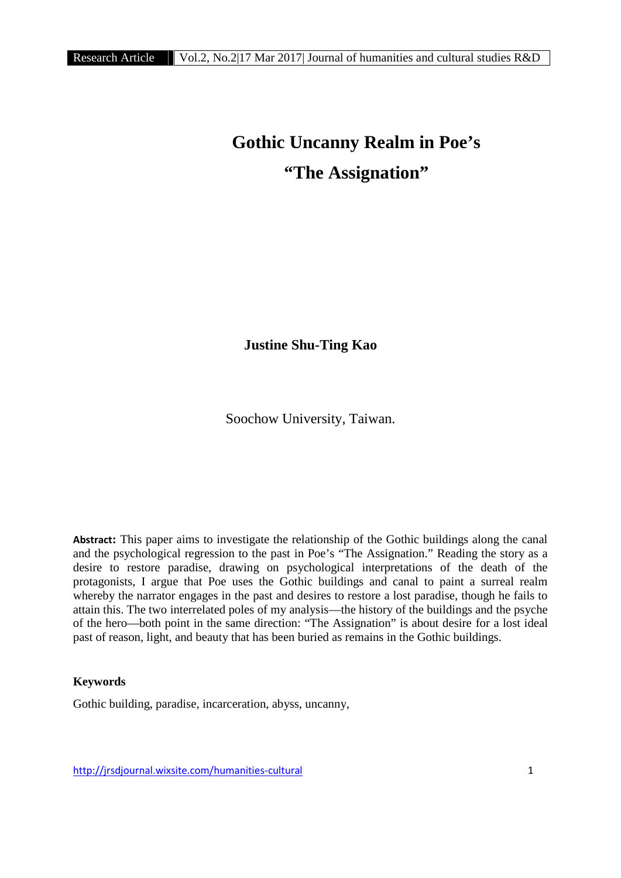## **Gothic Uncanny Realm in Poe's "The Assignation"**

**Justine Shu-Ting Kao**

Soochow University, Taiwan.

**Abstract:** This paper aims to investigate the relationship of the Gothic buildings along the canal and the psychological regression to the past in Poe's "The Assignation." Reading the story as a desire to restore paradise, drawing on psychological interpretations of the death of the protagonists, I argue that Poe uses the Gothic buildings and canal to paint a surreal realm whereby the narrator engages in the past and desires to restore a lost paradise, though he fails to attain this. The two interrelated poles of my analysis—the history of the buildings and the psyche of the hero—both point in the same direction: "The Assignation" is about desire for a lost ideal past of reason, light, and beauty that has been buried as remains in the Gothic buildings.

## **Keywords**

Gothic building, paradise, incarceration, abyss, uncanny,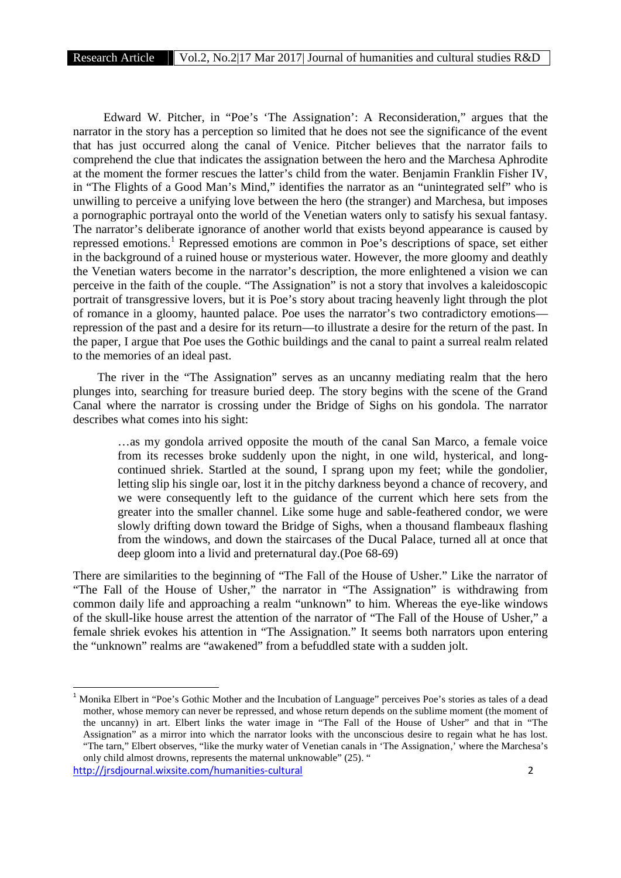Edward W. Pitcher, in "Poe's 'The Assignation': A Reconsideration," argues that the narrator in the story has a perception so limited that he does not see the significance of the event that has just occurred along the canal of Venice. Pitcher believes that the narrator fails to comprehend the clue that indicates the assignation between the hero and the Marchesa Aphrodite at the moment the former rescues the latter's child from the water. Benjamin Franklin Fisher IV, in "The Flights of a Good Man's Mind," identifies the narrator as an "unintegrated self" who is unwilling to perceive a unifying love between the hero (the stranger) and Marchesa, but imposes a pornographic portrayal onto the world of the Venetian waters only to satisfy his sexual fantasy. The narrator's deliberate ignorance of another world that exists beyond appearance is caused by repressed emotions.<sup>1</sup> Repressed emotions are common in Poe's descriptions of space, set either in the background of a ruined house or mysterious water. However, the more gloomy and deathly the Venetian waters become in the narrator's description, the more enlightened a vision we can perceive in the faith of the couple. "The Assignation" is not a story that involves a kaleidoscopic portrait of transgressive lovers, but it is Poe's story about tracing heavenly light through the plot of romance in a gloomy, haunted palace. Poe uses the narrator's two contradictory emotions repression of the past and a desire for its return—to illustrate a desire for the return of the past. In the paper, I argue that Poe uses the Gothic buildings and the canal to paint a surreal realm related to the memories of an ideal past.

The river in the "The Assignation" serves as an uncanny mediating realm that the hero plunges into, searching for treasure buried deep. The story begins with the scene of the Grand Canal where the narrator is crossing under the Bridge of Sighs on his gondola. The narrator describes what comes into his sight:

…as my gondola arrived opposite the mouth of the canal San Marco, a female voice from its recesses broke suddenly upon the night, in one wild, hysterical, and long continued shriek. Startled at the sound, I sprang upon my feet; while the gondolier, letting slip his single oar, lost it in the pitchy darkness beyond a chance of recovery, and we were consequently left to the guidance of the current which here sets from the greater into the smaller channel. Like some huge and sable-feathered condor, we were slowly drifting down toward the Bridge of Sighs, when a thousand flambeaux flashing from the windows, and down the staircases of the Ducal Palace, turned all at once that deep gloom into a livid and preternatural day.(Poe 68-69)

There are similarities to the beginning of "The Fall of the House of Usher." Like the narrator of "The Fall of the House of Usher," the narrator in "The Assignation" is withdrawing from common daily life and approaching a realm "unknown" to him. Whereas the eye-like windows of the skull-like house arrest the attention of the narrator of "The Fall of the House of Usher," a female shriek evokes his attention in "The Assignation." It seems both narrators upon entering the "unknown" realms are "awakened" from a befuddled state with a sudden jolt.

<sup>&</sup>lt;sup>1</sup> Monika Elbert in "Poe's Gothic Mother and the Incubation of Language" perceives Poe's stories as tales of a dead mother, whose memory can never be repressed, and whose return depends on the sublime moment (the moment of the uncanny) in art. Elbert links the water image in "The Fall of the House of Usher" and that in "The Assignation" as a mirror into which the narrator looks with the unconscious desire to regain what he has lost. "The tarn," Elbert observes, "like the murky water of Venetian canals in 'The Assignation,' where the Marchesa's only child almost drowns, represents the maternal unknowable" (25). "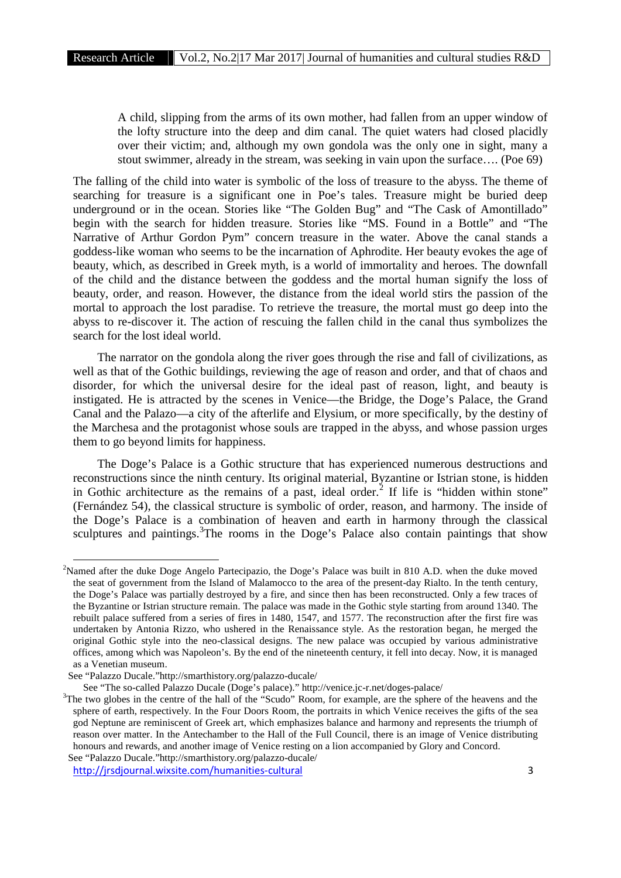A child, slipping from the arms of its own mother, had fallen from an upper window of the lofty structure into the deep and dim canal. The quiet waters had closed placidly over their victim; and, although my own gondola was the only one in sight, many a stout swimmer, already in the stream, was seeking in vain upon the surface…. (Poe 69)

The falling of the child into water is symbolic of the loss of treasure to the abyss. The theme of searching for treasure is a significant one in Poe's tales. Treasure might be buried deep underground or in the ocean. Stories like "The Golden Bug" and "The Cask of Amontillado" begin with the search for hidden treasure. Stories like "MS. Found in a Bottle" and "The Narrative of Arthur Gordon Pym" concern treasure in the water. Above the canal stands a goddess-like woman who seems to be the incarnation of Aphrodite. Her beauty evokes the age of beauty, which, as described in Greek myth, is a world of immortality and heroes. The downfall of the child and the distance between the goddess and the mortal human signify the loss of beauty, order, and reason. However, the distance from the ideal world stirs the passion of the mortal to approach the lost paradise. To retrieve the treasure, the mortal must go deep into the abyss to re-discover it. The action of rescuing the fallen child in the canal thus symbolizes the search for the lost ideal world.

The narrator on the gondola along the river goes through the rise and fall of civilizations, as well as that of the Gothic buildings, reviewing the age of reason and order, and that of chaos and disorder, for which the universal desire for the ideal past of reason, light, and beauty is instigated. He is attracted by the scenes in Venice—the Bridge, the Doge's Palace, the Grand Canal and the Palazo—a city of the afterlife and Elysium, or more specifically, by the destiny of the Marchesa and the protagonist whose souls are trapped in the abyss, and whose passion urges them to go beyond limits for happiness.

The Doge's Palace is a Gothic structure that has experienced numerous destructions and reconstructions since the ninth century. Its original material, Byzantine or Istrian stone, is hidden in Gothic architecture as the remains of a past, ideal order.<sup>2</sup> If life is "hidden within stone" (Fernández 54), the classical structure is symbolic of order, reason, and harmony. The inside of the Doge's Palace is a combination of heaven and earth in harmony through the classical sculptures and paintings.<sup>3</sup>The rooms in the Doge's Palace also contain paintings that show

<sup>&</sup>lt;sup>2</sup>Named after the duke Doge Angelo Partecipazio, the Doge's Palace was built in 810 A.D. when the duke moved the seat of government from the Island of Malamocco to the area of the present-day Rialto. In the tenth century, the Doge's Palace was partially destroyed by a fire, and since then has been reconstructed. Only a few traces of the Byzantine or Istrian structure remain. The palace was made in the Gothic style starting from around 1340. The rebuilt palace suffered from a series of fires in 1480, 1547, and 1577. The reconstruction after the first fire was undertaken by Antonia Rizzo, who ushered in the Renaissance style. As the restoration began, he merged the original Gothic style into the neo-classical designs. The new palace was occupied by various administrative offices, among which was Napoleon's. By the end of the nineteenth century, it fell into decay. Now, it is managed as a Venetian museum.

See "Palazzo Ducale."http://smarthistory.org/palazzo-ducale/

See "The so-called Palazzo Ducale (Doge's palace)." http://venice.jc-r.net/doges-palace/<br><sup>3</sup>The two globes in the centre of the hall of the "Scudo" Room, for example, are the sphere of the heavens and the sphere of earth, respectively. In the Four Doors Room, the portraits in which Venice receives the gifts of the sea god Neptune are reminiscent of Greek art, which emphasizes balance and harmony and represents the triumph of reason over matter. In the Antechamber to the Hall of the Full Council, there is an image of Venice distributing honours and rewards, and another image of Venice resting on a lion accompanied by Glory and Concord. See "Palazzo Ducale."http://smarthistory.org/palazzo-ducale/

http://jrsdjournal.wixsite.com/humanities-cultural 3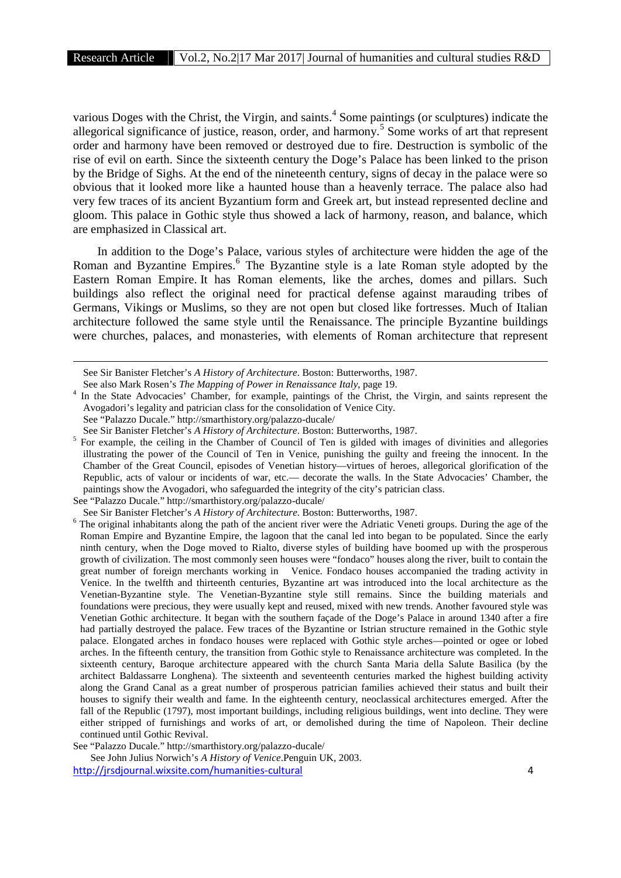various Doges with the Christ, the Virgin, and saints.<sup>4</sup> Some paintings (or sculptures) indicate the allegorical significance of justice, reason, order, and harmony.<sup>5</sup> Some works of art that represent order and harmony have been removed or destroyed due to fire. Destruction is symbolic of the rise of evil on earth. Since the sixteenth century the Doge's Palace has been linked to the prison by the Bridge of Sighs. At the end of the nineteenth century, signs of decay in the palace were so obvious that it looked more like a haunted house than a heavenly terrace. The palace also had very few traces of its ancient Byzantium form and Greek art, but instead represented decline and gloom. This palace in Gothic style thus showed a lack of harmony, reason, and balance, which are emphasized in Classical art.

In addition to the Doge's Palace, various styles of architecture were hidden the age of the Roman and Byzantine Empires.<sup>6</sup> The Byzantine style is a late Roman style adopted by the Eastern Roman Empire. It has Roman elements, like the arches, domes and pillars. Such buildings also reflect the original need for practical defense against marauding tribes of Germans, Vikings or Muslims, so they are not open but closed like fortresses. Much of Italian architecture followed the same style until the Renaissance. The principle Byzantine buildings were churches, palaces, and monasteries, with elements of Roman architecture that represent

See Sir Banister Fletcher's *A History of Architecture*. Boston: Butterworths, 1987.

See also Mark Rosen's *The Mapping of Power in Renaissance Italy*, page 19. <sup>4</sup> In the State Advocacies' Chamber, for example, paintings of the Christ, the Virgin, and saints represent the Avogadori's legality and patrician class for the consolidation of Venice City.

See "Palazzo Ducale." http://smarthistory.org/palazzo-ducale/<br>See Sir Banister Fletcher's A History of Architecture. Boston: Butterworths. 1987.

<sup>5</sup> For example, the ceiling in the Chamber of Council of Ten is gilded with images of divinities and allegories illustrating the power of the Council of Ten in Venice, punishing the guilty and freeing the innocent. In the Chamber of the Great Council, episodes of Venetian history—virtues of heroes, allegorical glorification of the Republic, acts of valour or incidents of war, etc.— decorate the walls. In the State Advocacies' Chamber, the paintings show the Avogadori, who safeguarded the integrity of the city's patrician class.

See "Palazzo Ducale." http://smarthistory.org/palazzo-ducale/

See "Palazzo Ducale." http://smarthistory.org/palazzo-ducale/

See John Julius Norwich's *A History of Venice*.Penguin UK, 2003.

<sup>&</sup>lt;sup>6</sup> The original inhabitants along the path of the ancient river were the Adriatic Veneti groups. During the age of the <sup>6</sup> The original inhabitants along the path of the ancient river were the Adriatic Veneti groups. Duri Roman Empire and Byzantine Empire, the lagoon that the canal led into began to be populated. Since the early ninth century, when the Doge moved to Rialto, diverse styles of building have boomed up with the prosperous growth of civilization. The most commonly seen houses were "fondaco" houses along the river, built to contain the great number of foreign merchants working in Venice. Fondaco houses accompanied the trading activity in Venice. In the twelfth and thirteenth centuries, Byzantine art was introduced into the local architecture as the Venetian-Byzantine style. The Venetian-Byzantine style still remains. Since the building materials and foundations were precious, they were usually kept and reused, mixed with new trends. Another favoured style was Venetian Gothic architecture. It began with the southern façade of the Doge's Palace in around 1340 after a fire had partially destroyed the palace. Few traces of the Byzantine or Istrian structure remained in the Gothic style palace. Elongated arches in fondaco houses were replaced with Gothic style arches—pointed or ogee or lobed arches. In the fifteenth century, the transition from Gothic style to Renaissance architecture was completed. In the sixteenth century, Baroque architecture appeared with the church Santa Maria della Salute Basilica (by the architect Baldassarre Longhena). The sixteenth and seventeenth centuries marked the highest building activity along the Grand Canal as a great number of prosperous patrician families achieved their status and built their houses to signify their wealth and fame. In the eighteenth century, neoclassical architectures emerged. After the fall of the Republic (1797), most important buildings, including religious buildings, went into decline. They were either stripped of furnishings and works of art, or demolished during the time of Napoleon. Their decline continued until Gothic Revival.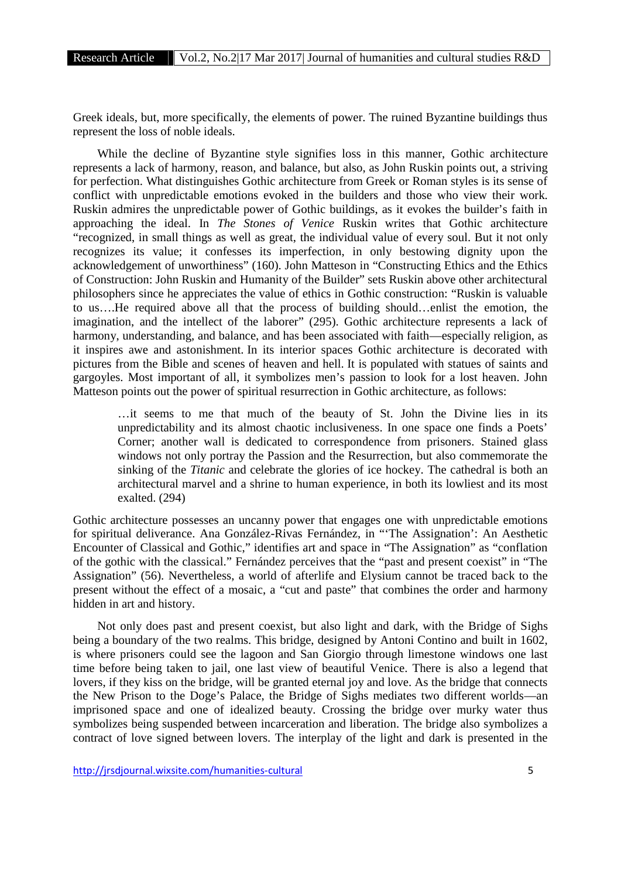Greek ideals, but, more specifically, the elements of power. The ruined Byzantine buildings thus represent the loss of noble ideals.

While the decline of Byzantine style signifies loss in this manner, Gothic architecture represents a lack of harmony, reason, and balance, but also, as John Ruskin points out, a striving for perfection. What distinguishes Gothic architecture from Greek or Roman styles is its sense of conflict with unpredictable emotions evoked in the builders and those who view their work. Ruskin admires the unpredictable power of Gothic buildings, as it evokes the builder's faith in approaching the ideal. In *The Stones of Venice* Ruskin writes that Gothic architecture "recognized, in small things as well as great, the individual value of every soul. But it not only recognizes its value; it confesses its imperfection, in only bestowing dignity upon the acknowledgement of unworthiness" (160). John Matteson in "Constructing Ethics and the Ethics of Construction: John Ruskin and Humanity of the Builder" sets Ruskin above other architectural philosophers since he appreciates the value of ethics in Gothic construction: "Ruskin is valuable to us….He required above all that the process of building should…enlist the emotion, the imagination, and the intellect of the laborer" (295). Gothic architecture represents a lack of harmony, understanding, and balance, and has been associated with faith—especially religion, as it inspires awe and astonishment. In its interior spaces Gothic architecture is decorated with pictures from the Bible and scenes of heaven and hell. It is populated with statues of saints and gargoyles. Most important of all, it symbolizes men's passion to look for a lost heaven. John Matteson points out the power of spiritual resurrection in Gothic architecture, as follows:

…it seems to me that much of the beauty of St. John the Divine lies in its unpredictability and its almost chaotic inclusiveness. In one space one finds a Poets' Corner; another wall is dedicated to correspondence from prisoners. Stained glass windows not only portray the Passion and the Resurrection, but also commemorate the sinking of the *Titanic* and celebrate the glories of ice hockey. The cathedral is both an architectural marvel and a shrine to human experience, in both its lowliest and its most exalted. (294)

Gothic architecture possesses an uncanny power that engages one with unpredictable emotions for spiritual deliverance. Ana González-Rivas Fernández, in "'The Assignation': An Aesthetic Encounter of Classical and Gothic," identifies art and space in "The Assignation" as "conflation of the gothic with the classical." Fernández perceives that the "past and present coexist" in "The Assignation" (56). Nevertheless, a world of afterlife and Elysium cannot be traced back to the present without the effect of a mosaic, a "cut and paste" that combines the order and harmony hidden in art and history.

Not only does past and present coexist, but also light and dark, with the Bridge of Sighs being a boundary of the two realms. This bridge, designed by Antoni Contino and built in 1602, is where prisoners could see the lagoon and San Giorgio through limestone windows one last time before being taken to jail, one last view of beautiful Venice. There is also a legend that lovers, if they kiss on the bridge, will be granted eternal joy and love. As the bridge that connects the New Prison to the Doge's Palace, the Bridge of Sighs mediates two different worlds—an imprisoned space and one of idealized beauty. Crossing the bridge over murky water thus symbolizes being suspended between incarceration and liberation. The bridge also symbolizes a contract of love signed between lovers. The interplay of the light and dark is presented in the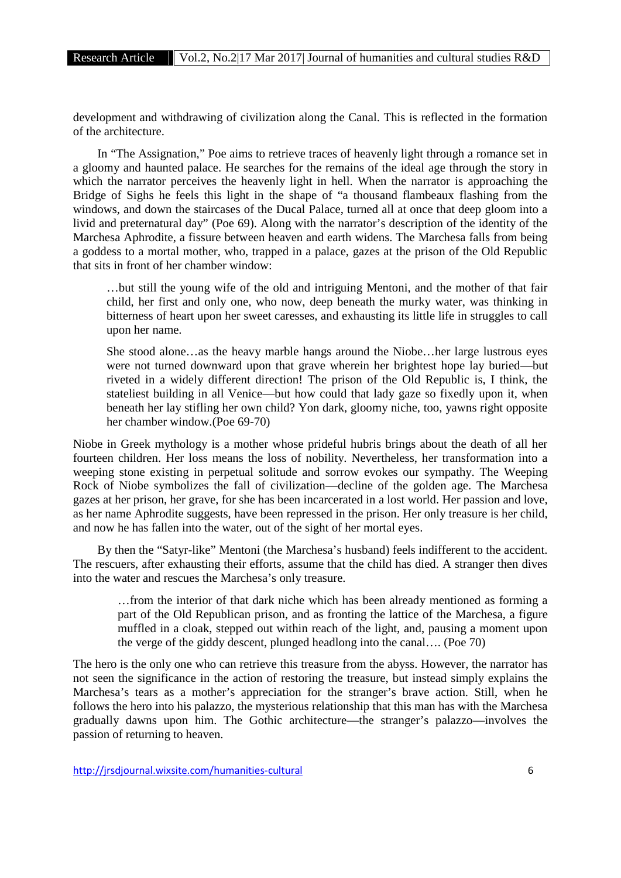development and withdrawing of civilization along the Canal. This is reflected in the formation of the architecture.

In "The Assignation," Poe aims to retrieve traces of heavenly light through a romance set in a gloomy and haunted palace. He searches for the remains of the ideal age through the story in which the narrator perceives the heavenly light in hell. When the narrator is approaching the Bridge of Sighs he feels this light in the shape of "a thousand flambeaux flashing from the windows, and down the staircases of the Ducal Palace, turned all at once that deep gloom into a livid and preternatural day" (Poe 69). Along with the narrator's description of the identity of the Marchesa Aphrodite, a fissure between heaven and earth widens. The Marchesa falls from being a goddess to a mortal mother, who, trapped in a palace, gazes at the prison of the Old Republic that sits in front of her chamber window:

…but still the young wife of the old and intriguing Mentoni, and the mother of that fair child, her first and only one, who now, deep beneath the murky water, was thinking in bitterness of heart upon her sweet caresses, and exhausting its little life in struggles to call upon her name.

She stood alone…as the heavy marble hangs around the Niobe…her large lustrous eyes were not turned downward upon that grave wherein her brightest hope lay buried—but riveted in a widely different direction! The prison of the Old Republic is, I think, the stateliest building in all Venice—but how could that lady gaze so fixedly upon it, when beneath her lay stifling her own child? Yon dark, gloomy niche, too, yawns right opposite her chamber window.(Poe 69-70)

Niobe in Greek mythology is a mother whose prideful hubris brings about the death of all her fourteen children. Her loss means the loss of nobility. Nevertheless, her transformation into a weeping stone existing in perpetual solitude and sorrow evokes our sympathy. The Weeping Rock of Niobe symbolizes the fall of civilization—decline of the golden age. The Marchesa gazes at her prison, her grave, for she has been incarcerated in a lost world. Her passion and love, as her name Aphrodite suggests, have been repressed in the prison. Her only treasure is her child, and now he has fallen into the water, out of the sight of her mortal eyes.

By then the "Satyr-like" Mentoni (the Marchesa's husband) feels indifferent to the accident. The rescuers, after exhausting their efforts, assume that the child has died. A stranger then dives into the water and rescues the Marchesa's only treasure.

…from the interior of that dark niche which has been already mentioned as forming a part of the Old Republican prison, and as fronting the lattice of the Marchesa, a figure muffled in a cloak, stepped out within reach of the light, and, pausing a moment upon the verge of the giddy descent, plunged headlong into the canal…. (Poe 70)

The hero is the only one who can retrieve this treasure from the abyss. However, the narrator has not seen the significance in the action of restoring the treasure, but instead simply explains the Marchesa's tears as a mother's appreciation for the stranger's brave action. Still, when he follows the hero into his palazzo, the mysterious relationship that this man has with the Marchesa gradually dawns upon him. The Gothic architecture—the stranger's palazzo—involves the passion of returning to heaven.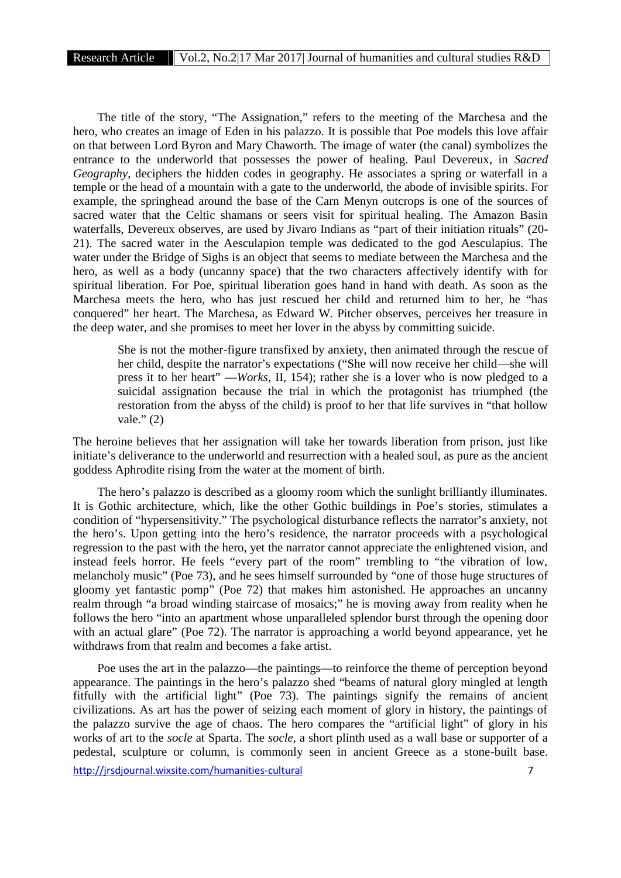The title of the story, "The Assignation," refers to the meeting of the Marchesa and the hero, who creates an image of Eden in his palazzo. It is possible that Poe models this love affair on that between Lord Byron and Mary Chaworth. The image of water (the canal) symbolizes the entrance to the underworld that possesses the power of healing. Paul Devereux, in *Sacred Geography*, deciphers the hidden codes in geography. He associates a spring or waterfall in a temple or the head of a mountain with a gate to the underworld, the abode of invisible spirits. For example, the springhead around the base of the Carn Menyn outcrops is one of the sources of sacred water that the Celtic shamans or seers visit for spiritual healing. The Amazon Basin waterfalls, Devereux observes, are used by Jivaro Indians as "part of their initiation rituals" (20- 21). The sacred water in the Aesculapion temple was dedicated to the god Aesculapius. The water under the Bridge of Sighs is an object that seems to mediate between the Marchesa and the hero, as well as a body (uncanny space) that the two characters affectively identify with for spiritual liberation. For Poe, spiritual liberation goes hand in hand with death. As soon as the Marchesa meets the hero, who has just rescued her child and returned him to her, he "has conquered" her heart. The Marchesa, as Edward W. Pitcher observes, perceives her treasure in the deep water, and she promises to meet her lover in the abyss by committing suicide.

She is not the mother-figure transfixed by anxiety, then animated through the rescue of her child, despite the narrator's expectations ("She will now receive her child—she will press it to her heart" —*Works*, II, 154); rather she is a lover who is now pledged to a suicidal assignation because the trial in which the protagonist has triumphed (the restoration from the abyss of the child) is proof to her that life survives in "that hollow vale." (2)

The heroine believes that her assignation will take her towards liberation from prison, just like initiate's deliverance to the underworld and resurrection with a healed soul, as pure as the ancient goddess Aphrodite rising from the water at the moment of birth.

The hero's palazzo is described as a gloomy room which the sunlight brilliantly illuminates. It is Gothic architecture, which, like the other Gothic buildings in Poe's stories, stimulates a condition of "hypersensitivity." The psychological disturbance reflects the narrator's anxiety, not the hero's. Upon getting into the hero's residence, the narrator proceeds with a psychological regression to the past with the hero, yet the narrator cannot appreciate the enlightened vision, and instead feels horror. He feels "every part of the room" trembling to "the vibration of low, melancholy music" (Poe 73), and he sees himself surrounded by "one of those huge structures of gloomy yet fantastic pomp" (Poe 72) that makes him astonished. He approaches an uncanny realm through "a broad winding staircase of mosaics;" he is moving away from reality when he follows the hero "into an apartment whose unparalleled splendor burst through the opening door with an actual glare" (Poe 72). The narrator is approaching a world beyond appearance, yet he withdraws from that realm and becomes a fake artist.

http://jrsdjournal.wixsite.com/humanities-cultural 7 Poe uses the art in the palazzo—the paintings—to reinforce the theme of perception beyond appearance. The paintings in the hero's palazzo shed "beams of natural glory mingled at length fitfully with the artificial light" (Poe 73). The paintings signify the remains of ancient civilizations. As art has the power of seizing each moment of glory in history, the paintings of the palazzo survive the age of chaos. The hero compares the "artificial light" of glory in his works of art to the *socle* at Sparta. The *socle*, a short plinth used as a wall base or supporter of a pedestal, sculpture or column, is commonly seen in ancient Greece as a stone-built base.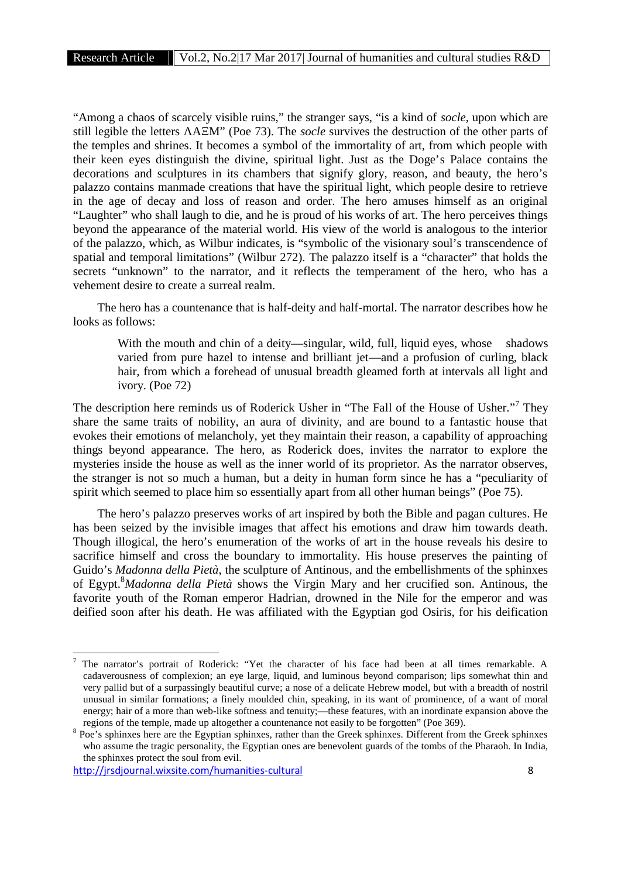"Among a chaos of scarcely visible ruins," the stranger says, "is a kind of *socle*, upon which are still legible the letters A M" (Poe 73). The *socle* survives the destruction of the other parts of the temples and shrines. It becomes a symbol of the immortality of art, from which people with their keen eyes distinguish the divine, spiritual light. Just as the Doge's Palace contains the decorations and sculptures in its chambers that signify glory, reason, and beauty, the hero's palazzo contains manmade creations that have the spiritual light, which people desire to retrieve in the age of decay and loss of reason and order. The hero amuses himself as an original "Laughter" who shall laugh to die, and he is proud of his works of art. The hero perceives things beyond the appearance of the material world. His view of the world is analogous to the interior of the palazzo, which, as Wilbur indicates, is "symbolic of the visionary soul's transcendence of spatial and temporal limitations" (Wilbur 272). The palazzo itself is a "character" that holds the secrets "unknown" to the narrator, and it reflects the temperament of the hero, who has a vehement desire to create a surreal realm.

The hero has a countenance that is half-deity and half-mortal. The narrator describes how he looks as follows:

With the mouth and chin of a deity—singular, wild, full, liquid eyes, whose shadows varied from pure hazel to intense and brilliant jet—and a profusion of curling, black hair, from which a forehead of unusual breadth gleamed forth at intervals all light and ivory. (Poe 72)

The description here reminds us of Roderick Usher in "The Fall of the House of Usher."<sup>7</sup> They share the same traits of nobility, an aura of divinity, and are bound to a fantastic house that evokes their emotions of melancholy, yet they maintain their reason, a capability of approaching things beyond appearance. The hero, as Roderick does, invites the narrator to explore the mysteries inside the house as well as the inner world of its proprietor. As the narrator observes, the stranger is not so much a human, but a deity in human form since he has a "peculiarity of spirit which seemed to place him so essentially apart from all other human beings" (Poe 75).

The hero's palazzo preserves works of art inspired by both the Bible and pagan cultures. He has been seized by the invisible images that affect his emotions and draw him towards death. Though illogical, the hero's enumeration of the works of art in the house reveals his desire to sacrifice himself and cross the boundary to immortality. His house preserves the painting of Guido's *Madonna della Pietà*, the sculpture of Antinous, and the embellishments of the sphinxes of Egypt.<sup>8</sup>*Madonna della Pietà* shows the Virgin Mary and her crucified son. Antinous, the favorite youth of the Roman emperor Hadrian, drowned in the Nile for the emperor and was deified soon after his death. He was affiliated with the Egyptian god Osiris, for his deification

<sup>7</sup> The narrator's portrait of Roderick: "Yet the character of his face had been at all times remarkable. A cadaverousness of complexion; an eye large, liquid, and luminous beyond comparison; lips somewhat thin and very pallid but of a surpassingly beautiful curve; a nose of a delicate Hebrew model, but with a breadth of nostril unusual in similar formations; a finely moulded chin, speaking, in its want of prominence, of a want of moral energy; hair of a more than web-like softness and tenuity;—these features, with an inordinate expansion above the

regions of the temple, made up altogether a countenance not easily to be forgotten" (Poe 369). <sup>8</sup> Poe's sphinxes here are the Egyptian sphinxes, rather than the Greek sphinxes. Different from the Greek sphinxes who assume the tragic personality, the Egyptian ones are benevolent guards of the tombs of the Pharaoh. In India, the sphinxes protect the soul from evil.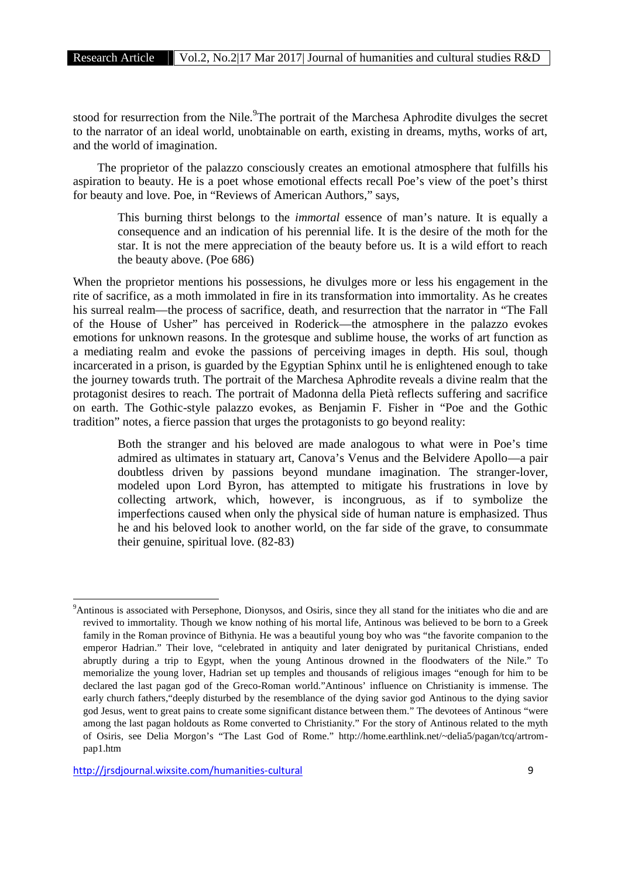stood for resurrection from the Nile.<sup>9</sup>The portrait of the Marchesa Aphrodite divulges the secret to the narrator of an ideal world, unobtainable on earth, existing in dreams, myths, works of art, and the world of imagination.

The proprietor of the palazzo consciously creates an emotional atmosphere that fulfills his aspiration to beauty. He is a poet whose emotional effects recall Poe's view of the poet's thirst for beauty and love. Poe, in "Reviews of American Authors," says,

This burning thirst belongs to the *immortal* essence of man's nature. It is equally a consequence and an indication of his perennial life. It is the desire of the moth for the star. It is not the mere appreciation of the beauty before us. It is a wild effort to reach the beauty above. (Poe 686)

When the proprietor mentions his possessions, he divulges more or less his engagement in the rite of sacrifice, as a moth immolated in fire in its transformation into immortality. As he creates his surreal realm—the process of sacrifice, death, and resurrection that the narrator in "The Fall of the House of Usher" has perceived in Roderick—the atmosphere in the palazzo evokes emotions for unknown reasons. In the grotesque and sublime house, the works of art function as a mediating realm and evoke the passions of perceiving images in depth. His soul, though incarcerated in a prison, is guarded by the Egyptian Sphinx until he is enlightened enough to take the journey towards truth. The portrait of the Marchesa Aphrodite reveals a divine realm that the protagonist desires to reach. The portrait of Madonna della Pietà reflects suffering and sacrifice on earth. The Gothic-style palazzo evokes, as Benjamin F. Fisher in "Poe and the Gothic tradition" notes, a fierce passion that urges the protagonists to go beyond reality:

Both the stranger and his beloved are made analogous to what were in Poe's time admired as ultimates in statuary art, Canova's Venus and the Belvidere Apollo—a pair doubtless driven by passions beyond mundane imagination. The stranger-lover, modeled upon Lord Byron, has attempted to mitigate his frustrations in love by collecting artwork, which, however, is incongruous, as if to symbolize the imperfections caused when only the physical side of human nature is emphasized. Thus he and his beloved look to another world, on the far side of the grave, to consummate their genuine, spiritual love. (82-83)

<sup>&</sup>lt;sup>9</sup>Antinous is associated with Persephone, Dionysos, and Osiris, since they all stand for the initiates who die and are revived to immortality. Though we know nothing of his mortal life, Antinous was believed to be born to a Greek family in the Roman province of Bithynia. He was a beautiful young boy who was "the favorite companion to the emperor Hadrian." Their love, "celebrated in antiquity and later denigrated by puritanical Christians, ended abruptly during a trip to Egypt, when the young Antinous drowned in the floodwaters of the Nile." To memorialize the young lover, Hadrian set up temples and thousands of religious images "enough for him to be declared the last pagan god of the Greco-Roman world."Antinous' influence on Christianity is immense. The early church fathers,"deeply disturbed by the resemblance of the dying savior god Antinous to the dying savior god Jesus, went to great pains to create some significant distance between them." The devotees of Antinous "were among the last pagan holdouts as Rome converted to Christianity." For the story of Antinous related to the myth of Osiris, see Delia Morgon's "The Last God of Rome." http://home.earthlink.net/~delia5/pagan/tcq/artrom pap1.htm